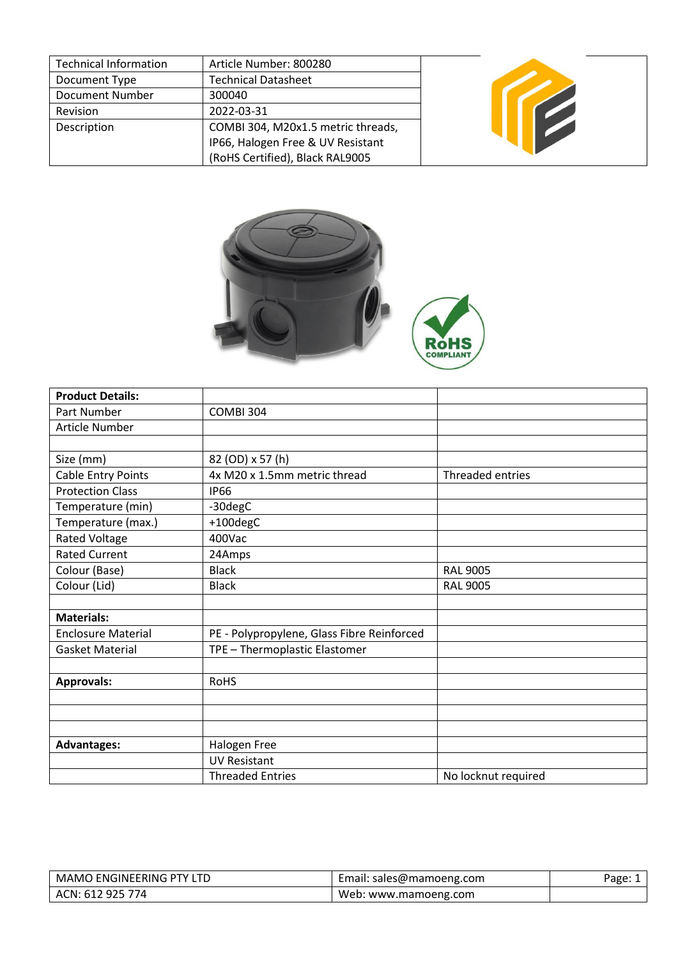| <b>Technical Information</b> | Article Number: 800280             |  |
|------------------------------|------------------------------------|--|
| Document Type                | <b>Technical Datasheet</b>         |  |
| <b>Document Number</b>       | 300040                             |  |
| Revision                     | 2022-03-31                         |  |
| Description                  | COMBI 304, M20x1.5 metric threads, |  |
|                              | IP66, Halogen Free & UV Resistant  |  |
|                              | (RoHS Certified), Black RAL9005    |  |



| <b>Product Details:</b>   |                                            |                     |
|---------------------------|--------------------------------------------|---------------------|
| Part Number               | COMBI 304                                  |                     |
| Article Number            |                                            |                     |
|                           |                                            |                     |
| Size (mm)                 | 82 (OD) x 57 (h)                           |                     |
| <b>Cable Entry Points</b> | 4x M20 x 1.5mm metric thread               | Threaded entries    |
| <b>Protection Class</b>   | <b>IP66</b>                                |                     |
| Temperature (min)         | -30degC                                    |                     |
| Temperature (max.)        | +100degC                                   |                     |
| <b>Rated Voltage</b>      | 400Vac                                     |                     |
| <b>Rated Current</b>      | 24Amps                                     |                     |
| Colour (Base)             | <b>Black</b>                               | <b>RAL 9005</b>     |
| Colour (Lid)              | <b>Black</b>                               | <b>RAL 9005</b>     |
|                           |                                            |                     |
| <b>Materials:</b>         |                                            |                     |
| <b>Enclosure Material</b> | PE - Polypropylene, Glass Fibre Reinforced |                     |
| <b>Gasket Material</b>    | TPE - Thermoplastic Elastomer              |                     |
|                           |                                            |                     |
| <b>Approvals:</b>         | <b>RoHS</b>                                |                     |
|                           |                                            |                     |
|                           |                                            |                     |
|                           |                                            |                     |
| <b>Advantages:</b>        | Halogen Free                               |                     |
|                           | <b>UV Resistant</b>                        |                     |
|                           | <b>Threaded Entries</b>                    | No locknut required |

| I ENGINEERING PTY LTD<br>MAMO | Email: sales@mamoeng.com | $"$ age: $\lrcorner$ |
|-------------------------------|--------------------------|----------------------|
| ACN: 612 925 774              | Web: www.mamoeng.com     |                      |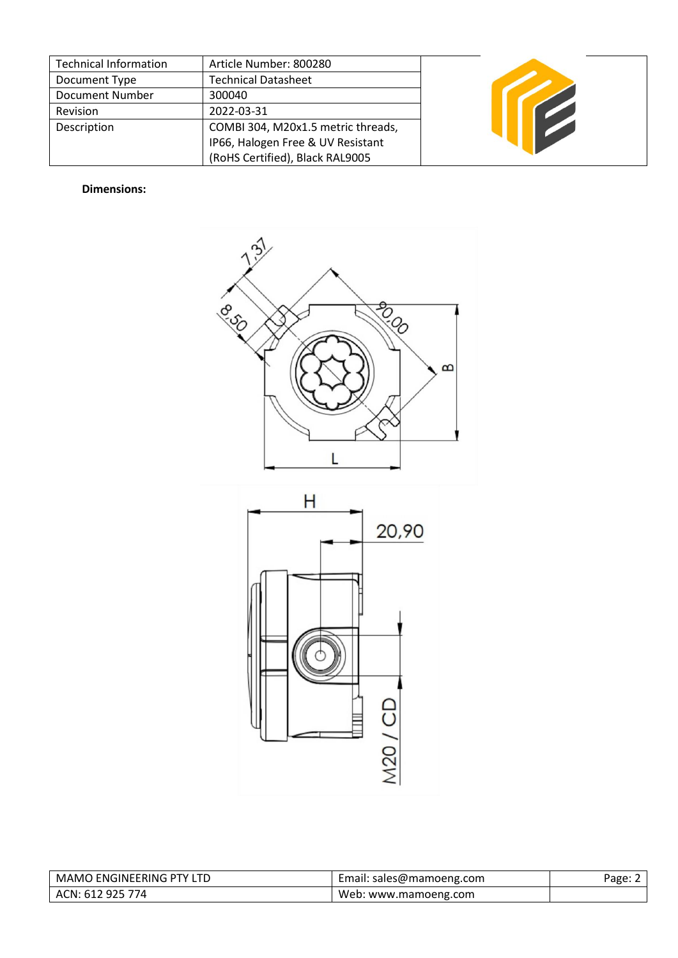| <b>Technical Information</b> | Article Number: 800280             |  |
|------------------------------|------------------------------------|--|
| Document Type                | <b>Technical Datasheet</b>         |  |
| Document Number              | 300040                             |  |
| Revision                     | 2022-03-31                         |  |
| Description                  | COMBI 304, M20x1.5 metric threads, |  |
|                              | IP66, Halogen Free & UV Resistant  |  |
|                              | (RoHS Certified), Black RAL9005    |  |

## **Dimensions:**





| MAMO ENGINEERING PTY LTD | Email: sales@mamoeng.com | Page: ∠ |
|--------------------------|--------------------------|---------|
| ACN: 612 925 774         | Web: www.mamoeng.com     |         |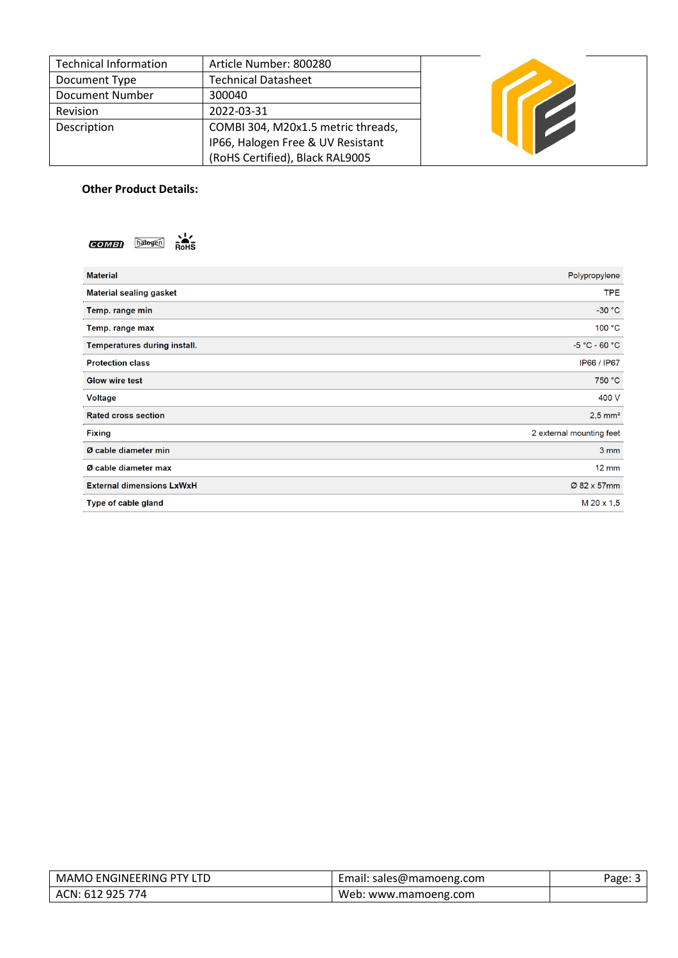| <b>Technical Information</b> | Article Number: 800280             |  |
|------------------------------|------------------------------------|--|
| Document Type                | <b>Technical Datasheet</b>         |  |
| Document Number              | 300040                             |  |
| Revision                     | 2022-03-31                         |  |
| Description                  | COMBI 304, M20x1.5 metric threads, |  |
|                              | IP66, Halogen Free & UV Resistant  |  |
|                              | (RoHS Certified), Black RAL9005    |  |

## **Other Product Details:**

| s!z<br>hatogen<br><b>COMBI</b><br><b>RoHS</b> |                          |
|-----------------------------------------------|--------------------------|
| <b>Material</b>                               | Polypropylene            |
| <b>Material sealing gasket</b>                | <b>TPE</b>               |
| Temp. range min                               | $-30 °C$                 |
| Temp. range max                               | 100 °C                   |
| Temperatures during install.                  | $-5 °C - 60 °C$          |
| <b>Protection class</b>                       | IP66 / IP67              |
| <b>Glow wire test</b>                         | 750 °C                   |
| Voltage                                       | 400 V                    |
| <b>Rated cross section</b>                    | $2,5$ mm <sup>2</sup>    |
| <b>Fixing</b>                                 | 2 external mounting feet |
| Ø cable diameter min                          | 3 mm                     |
| Ø cable diameter max                          | <b>12 mm</b>             |
| <b>External dimensions LxWxH</b>              | Ø 82 x 57mm              |
| Type of cable gland                           | M 20 x 1,5               |

| <b>ENGINEERING PTY LTD</b>      | : sales@mamoeng.com       | י≙חבּל |
|---------------------------------|---------------------------|--------|
| MAMO                            | Email:                    | agc. J |
| <u>'</u> 925 774<br>.61<br>ACN: | Web.<br>: www.mamoeng.com |        |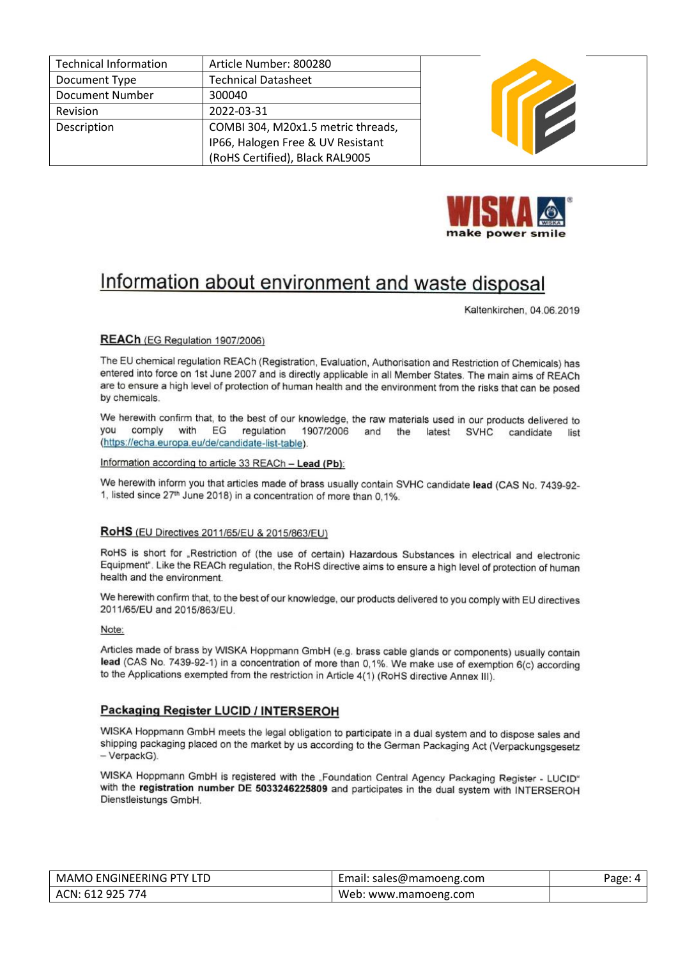| <b>Technical Information</b> | Article Number: 800280             |
|------------------------------|------------------------------------|
| Document Type                | <b>Technical Datasheet</b>         |
| <b>Document Number</b>       | 300040                             |
| Revision                     | 2022-03-31                         |
| Description                  | COMBI 304, M20x1.5 metric threads, |
|                              | IP66, Halogen Free & UV Resistant  |
|                              | (RoHS Certified), Black RAL9005    |





# Information about environment and waste disposal

Kaltenkirchen, 04.06.2019

### REACh (EG Regulation 1907/2006)

The EU chemical regulation REACh (Registration, Evaluation, Authorisation and Restriction of Chemicals) has entered into force on 1st June 2007 and is directly applicable in all Member States. The main aims of REACh are to ensure a high level of protection of human health and the environment from the risks that can be posed by chemicals.

We herewith confirm that, to the best of our knowledge, the raw materials used in our products delivered to you comply with EG regulation 1907/2006 and the latest SVHC candidate list (https://echa.europa.eu/de/candidate-list-table).

Information according to article 33 REACh - Lead (Pb):

We herewith inform you that articles made of brass usually contain SVHC candidate lead (CAS No. 7439-92-1, listed since 27<sup>th</sup> June 2018) in a concentration of more than 0,1%.

#### RoHS (EU Directives 2011/65/EU & 2015/863/EU)

RoHS is short for "Restriction of (the use of certain) Hazardous Substances in electrical and electronic Equipment". Like the REACh regulation, the RoHS directive aims to ensure a high level of protection of human health and the environment.

We herewith confirm that, to the best of our knowledge, our products delivered to you comply with EU directives 2011/65/EU and 2015/863/EU.

Note:

Articles made of brass by WISKA Hoppmann GmbH (e.g. brass cable glands or components) usually contain lead (CAS No. 7439-92-1) in a concentration of more than 0,1%. We make use of exemption 6(c) according to the Applications exempted from the restriction in Article 4(1) (RoHS directive Annex III).

## **Packaging Register LUCID / INTERSEROH**

WISKA Hoppmann GmbH meets the legal obligation to participate in a dual system and to dispose sales and shipping packaging placed on the market by us according to the German Packaging Act (Verpackungsgesetz - VerpackG).

WISKA Hoppmann GmbH is registered with the "Foundation Central Agency Packaging Register - LUCID" with the registration number DE 5033246225809 and participates in the dual system with INTERSEROH Dienstleistungs GmbH.

| MAMO ENGINEERING PTY LTD | Email: sales@mamoeng.com | Page: 4 |
|--------------------------|--------------------------|---------|
| ACN: 612 925 774         | Web: www.mamoeng.com     |         |